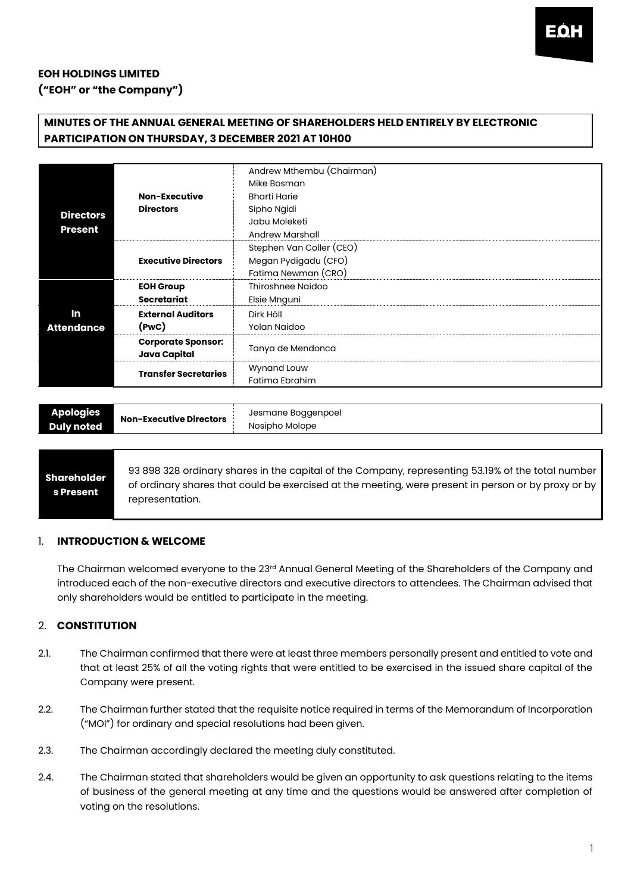# **EOH HOLDINGS LIMITED ("EOH" or "the Company")**

# **MINUTES OF THE ANNUAL GENERAL MEETING OF SHAREHOLDERS HELD ENTIRELY BY ELECTRONIC PARTICIPATION ON THURSDAY, 3 DECEMBER 2021 AT 10H00**

| <b>Directors</b><br><b>Present</b> |                                           | Andrew Mthembu (Chairman) |
|------------------------------------|-------------------------------------------|---------------------------|
|                                    |                                           | Mike Bosman               |
|                                    | <b>Non-Executive</b>                      | <b>Bharti Harie</b>       |
|                                    | <b>Directors</b>                          | Sipho Ngidi               |
|                                    |                                           | Jabu Moleketi             |
|                                    |                                           | Andrew Marshall           |
|                                    | <b>Executive Directors</b>                | Stephen Van Coller (CEO)  |
|                                    |                                           | Megan Pydigadu (CFO)      |
|                                    |                                           | Fatima Newman (CRO)       |
|                                    | <b>EOH Group</b>                          | Thiroshnee Naidoo         |
|                                    | <b>Secretariat</b>                        | Elsie Mnguni              |
| In                                 | <b>External Auditors</b>                  | Dirk Höll                 |
| <b>Attendance</b>                  | (PWC)                                     | Yolan Naidoo              |
|                                    | <b>Corporate Sponsor:</b><br>Java Capital | Tanya de Mendonca         |
|                                    | <b>Transfer Secretaries</b>               | Wynand Louw               |
|                                    |                                           | Fatima Ebrahim            |

| Jesmane Boggenpoel<br><b>Apologies</b><br>Non-Executive Directors<br>Nosipho Molope<br>Duly noted. |
|----------------------------------------------------------------------------------------------------|
|----------------------------------------------------------------------------------------------------|

# **Shareholder s Present**

93 898 328 ordinary shares in the capital of the Company, representing 53.19% of the total number of ordinary shares that could be exercised at the meeting, were present in person or by proxy or by representation.

## 1. **INTRODUCTION & WELCOME**

The Chairman welcomed everyone to the 23<sup>rd</sup> Annual General Meeting of the Shareholders of the Company and introduced each of the non-executive directors and executive directors to attendees. The Chairman advised that only shareholders would be entitled to participate in the meeting.

# 2. **CONSTITUTION**

- 2.1. The Chairman confirmed that there were at least three members personally present and entitled to vote and that at least 25% of all the voting rights that were entitled to be exercised in the issued share capital of the Company were present.
- 2.2. The Chairman further stated that the requisite notice required in terms of the Memorandum of Incorporation ("MOI") for ordinary and special resolutions had been given.
- 2.3. The Chairman accordingly declared the meeting duly constituted.
- 2.4. The Chairman stated that shareholders would be given an opportunity to ask questions relating to the items of business of the general meeting at any time and the questions would be answered after completion of voting on the resolutions.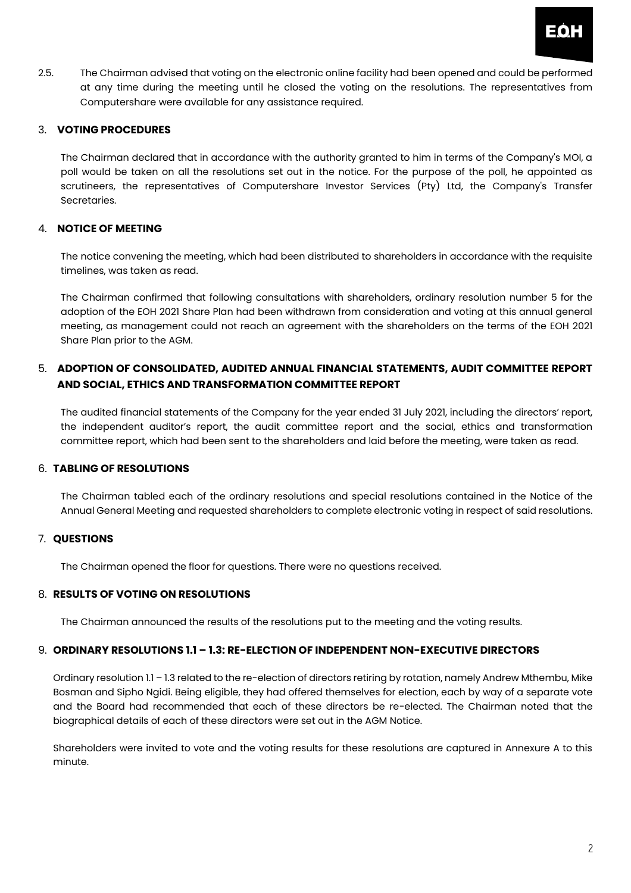

2.5. The Chairman advised that voting on the electronic online facility had been opened and could be performed at any time during the meeting until he closed the voting on the resolutions. The representatives from Computershare were available for any assistance required.

### 3. **VOTING PROCEDURES**

The Chairman declared that in accordance with the authority granted to him in terms of the Company's MOI, a poll would be taken on all the resolutions set out in the notice. For the purpose of the poll, he appointed as scrutineers, the representatives of Computershare Investor Services (Pty) Ltd, the Company's Transfer Secretaries.

# 4. **NOTICE OF MEETING**

The notice convening the meeting, which had been distributed to shareholders in accordance with the requisite timelines, was taken as read.

The Chairman confirmed that following consultations with shareholders, ordinary resolution number 5 for the adoption of the EOH 2021 Share Plan had been withdrawn from consideration and voting at this annual general meeting, as management could not reach an agreement with the shareholders on the terms of the EOH 2021 Share Plan prior to the AGM.

# 5. **ADOPTION OF CONSOLIDATED, AUDITED ANNUAL FINANCIAL STATEMENTS, AUDIT COMMITTEE REPORT AND SOCIAL, ETHICS AND TRANSFORMATION COMMITTEE REPORT**

The audited financial statements of the Company for the year ended 31 July 2021, including the directors' report, the independent auditor's report, the audit committee report and the social, ethics and transformation committee report, which had been sent to the shareholders and laid before the meeting, were taken as read.

#### 6. **TABLING OF RESOLUTIONS**

The Chairman tabled each of the ordinary resolutions and special resolutions contained in the Notice of the Annual General Meeting and requested shareholders to complete electronic voting in respect of said resolutions.

## 7. **QUESTIONS**

The Chairman opened the floor for questions. There were no questions received.

#### 8. **RESULTS OF VOTING ON RESOLUTIONS**

The Chairman announced the results of the resolutions put to the meeting and the voting results.

#### 9. **ORDINARY RESOLUTIONS 1.1 – 1.3: RE-ELECTION OF INDEPENDENT NON-EXECUTIVE DIRECTORS**

Ordinary resolution 1.1 – 1.3 related to the re-election of directors retiring by rotation, namely Andrew Mthembu, Mike Bosman and Sipho Ngidi. Being eligible, they had offered themselves for election, each by way of a separate vote and the Board had recommended that each of these directors be re-elected. The Chairman noted that the biographical details of each of these directors were set out in the AGM Notice.

Shareholders were invited to vote and the voting results for these resolutions are captured in Annexure A to this minute.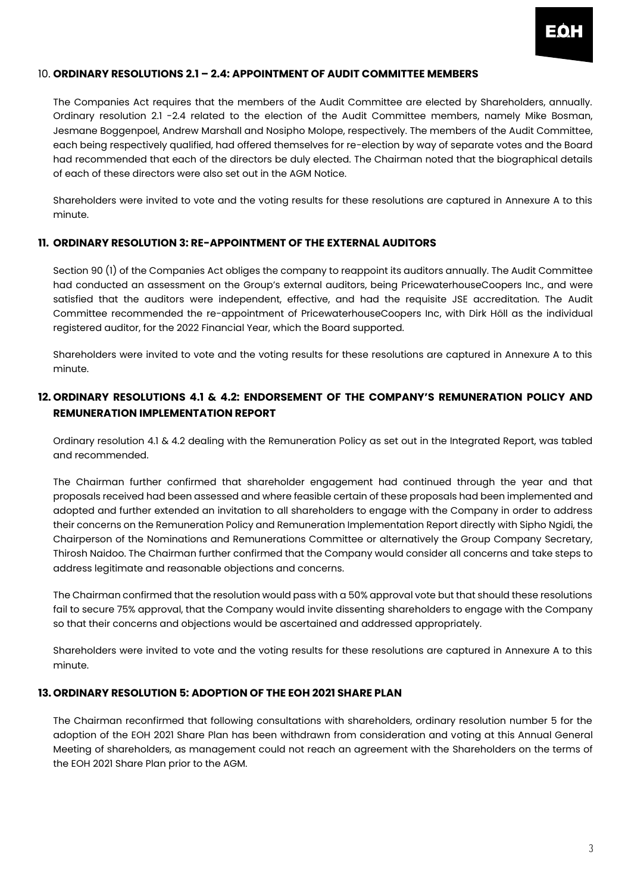

#### 10. **ORDINARY RESOLUTIONS 2.1 – 2.4: APPOINTMENT OF AUDIT COMMITTEE MEMBERS**

The Companies Act requires that the members of the Audit Committee are elected by Shareholders, annually. Ordinary resolution 2.1 -2.4 related to the election of the Audit Committee members, namely Mike Bosman, Jesmane Boggenpoel, Andrew Marshall and Nosipho Molope, respectively. The members of the Audit Committee, each being respectively qualified, had offered themselves for re-election by way of separate votes and the Board had recommended that each of the directors be duly elected. The Chairman noted that the biographical details of each of these directors were also set out in the AGM Notice.

Shareholders were invited to vote and the voting results for these resolutions are captured in Annexure A to this minute.

#### **11. ORDINARY RESOLUTION 3: RE-APPOINTMENT OF THE EXTERNAL AUDITORS**

Section 90 (1) of the Companies Act obliges the company to reappoint its auditors annually. The Audit Committee had conducted an assessment on the Group's external auditors, being PricewaterhouseCoopers Inc., and were satisfied that the auditors were independent, effective, and had the requisite JSE accreditation. The Audit Committee recommended the re-appointment of PricewaterhouseCoopers Inc, with Dirk Höll as the individual registered auditor, for the 2022 Financial Year, which the Board supported.

Shareholders were invited to vote and the voting results for these resolutions are captured in Annexure A to this minute.

# **12. ORDINARY RESOLUTIONS 4.1 & 4.2: ENDORSEMENT OF THE COMPANY'S REMUNERATION POLICY AND REMUNERATION IMPLEMENTATION REPORT**

Ordinary resolution 4.1 & 4.2 dealing with the Remuneration Policy as set out in the Integrated Report, was tabled and recommended.

The Chairman further confirmed that shareholder engagement had continued through the year and that proposals received had been assessed and where feasible certain of these proposals had been implemented and adopted and further extended an invitation to all shareholders to engage with the Company in order to address their concerns on the Remuneration Policy and Remuneration Implementation Report directly with Sipho Ngidi, the Chairperson of the Nominations and Remunerations Committee or alternatively the Group Company Secretary, Thirosh Naidoo. The Chairman further confirmed that the Company would consider all concerns and take steps to address legitimate and reasonable objections and concerns.

The Chairman confirmed that the resolution would pass with a 50% approval vote but that should these resolutions fail to secure 75% approval, that the Company would invite dissenting shareholders to engage with the Company so that their concerns and objections would be ascertained and addressed appropriately.

Shareholders were invited to vote and the voting results for these resolutions are captured in Annexure A to this minute.

# **13. ORDINARY RESOLUTION 5: ADOPTION OF THE EOH 2021 SHARE PLAN**

The Chairman reconfirmed that following consultations with shareholders, ordinary resolution number 5 for the adoption of the EOH 2021 Share Plan has been withdrawn from consideration and voting at this Annual General Meeting of shareholders, as management could not reach an agreement with the Shareholders on the terms of the EOH 2021 Share Plan prior to the AGM.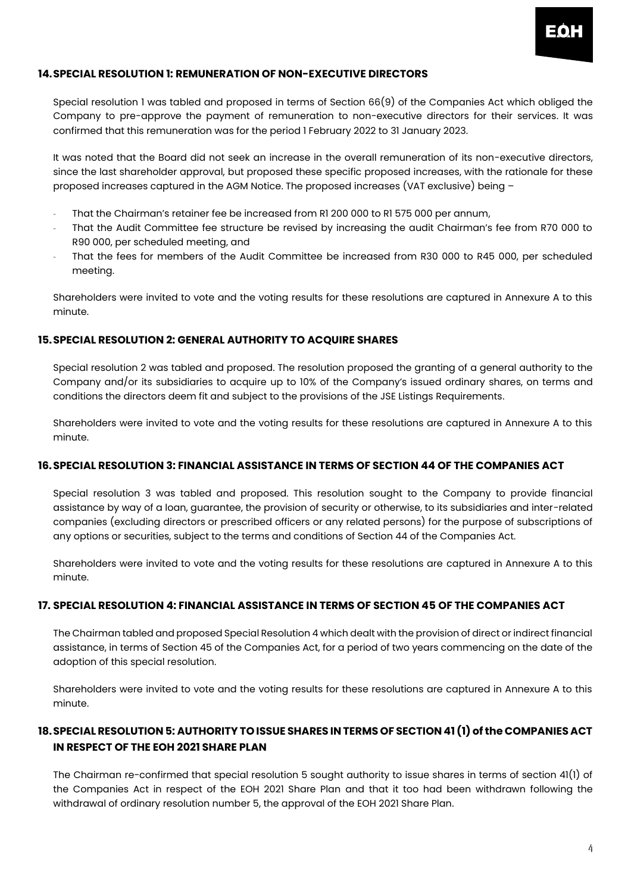## **14.SPECIAL RESOLUTION 1: REMUNERATION OF NON-EXECUTIVE DIRECTORS**

Special resolution 1 was tabled and proposed in terms of Section 66(9) of the Companies Act which obliged the Company to pre-approve the payment of remuneration to non-executive directors for their services. It was confirmed that this remuneration was for the period 1 February 2022 to 31 January 2023.

It was noted that the Board did not seek an increase in the overall remuneration of its non-executive directors, since the last shareholder approval, but proposed these specific proposed increases, with the rationale for these proposed increases captured in the AGM Notice. The proposed increases (VAT exclusive) being –

- That the Chairman's retainer fee be increased from R1 200 000 to R1 575 000 per annum,
- That the Audit Committee fee structure be revised by increasing the audit Chairman's fee from R70 000 to R90 000, per scheduled meeting, and
- That the fees for members of the Audit Committee be increased from R30 000 to R45 000, per scheduled meeting.

Shareholders were invited to vote and the voting results for these resolutions are captured in Annexure A to this minute.

#### **15.SPECIAL RESOLUTION 2: GENERAL AUTHORITY TO ACQUIRE SHARES**

Special resolution 2 was tabled and proposed. The resolution proposed the granting of a general authority to the Company and/or its subsidiaries to acquire up to 10% of the Company's issued ordinary shares, on terms and conditions the directors deem fit and subject to the provisions of the JSE Listings Requirements.

Shareholders were invited to vote and the voting results for these resolutions are captured in Annexure A to this minute.

## **16.SPECIAL RESOLUTION 3: FINANCIAL ASSISTANCE IN TERMS OF SECTION 44 OF THE COMPANIES ACT**

Special resolution 3 was tabled and proposed. This resolution sought to the Company to provide financial assistance by way of a loan, guarantee, the provision of security or otherwise, to its subsidiaries and inter-related companies (excluding directors or prescribed officers or any related persons) for the purpose of subscriptions of any options or securities, subject to the terms and conditions of Section 44 of the Companies Act.

Shareholders were invited to vote and the voting results for these resolutions are captured in Annexure A to this minute.

## **17. SPECIAL RESOLUTION 4: FINANCIAL ASSISTANCE IN TERMS OF SECTION 45 OF THE COMPANIES ACT**

The Chairman tabled and proposed Special Resolution 4 which dealt with the provision of direct or indirect financial assistance, in terms of Section 45 of the Companies Act, for a period of two years commencing on the date of the adoption of this special resolution.

Shareholders were invited to vote and the voting results for these resolutions are captured in Annexure A to this minute.

# **18.SPECIAL RESOLUTION 5: AUTHORITY TO ISSUE SHARES IN TERMS OF SECTION 41 (1) of the COMPANIES ACT IN RESPECT OF THE EOH 2021 SHARE PLAN**

The Chairman re-confirmed that special resolution 5 sought authority to issue shares in terms of section 41(1) of the Companies Act in respect of the EOH 2021 Share Plan and that it too had been withdrawn following the withdrawal of ordinary resolution number 5, the approval of the EOH 2021 Share Plan.

EQF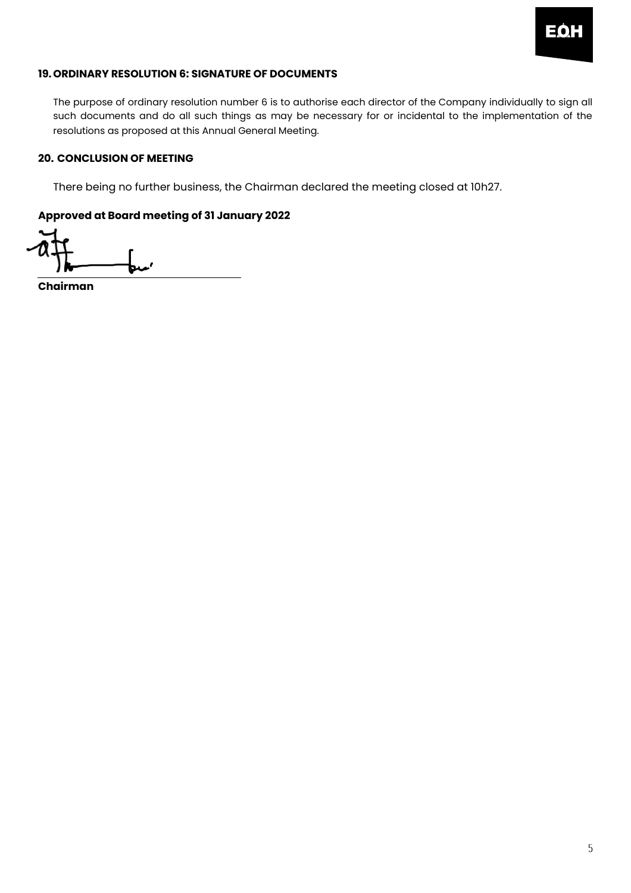

## **19.ORDINARY RESOLUTION 6: SIGNATURE OF DOCUMENTS**

The purpose of ordinary resolution number 6 is to authorise each director of the Company individually to sign all such documents and do all such things as may be necessary for or incidental to the implementation of the resolutions as proposed at this Annual General Meeting.

## **20. CONCLUSION OF MEETING**

There being no further business, the Chairman declared the meeting closed at 10h27.

# **Approved at Board meeting of 31 January 2022**

**Chairman**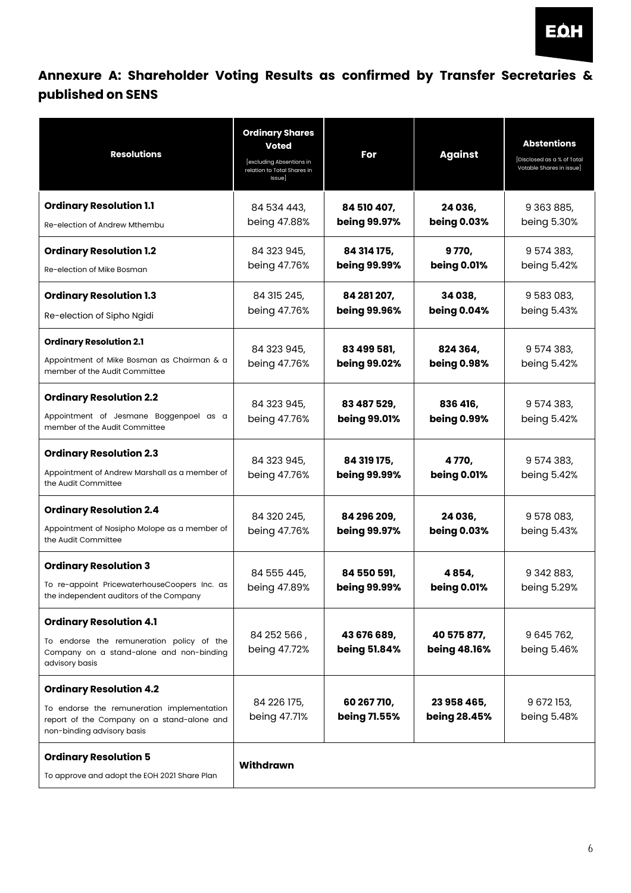

# **Annexure A: Shareholder Voting Results as confirmed by Transfer Secretaries & published on SENS**

| <b>Resolutions</b>                                                                                                                                       | <b>Ordinary Shares</b><br>Voted<br>[excluding Absentions in<br>relation to Total Shares in<br>Issue] | For                                | <b>Against</b>                 | <b>Abstentions</b><br>[Disclosed as a % of Total<br>Votable Shares in issue] |
|----------------------------------------------------------------------------------------------------------------------------------------------------------|------------------------------------------------------------------------------------------------------|------------------------------------|--------------------------------|------------------------------------------------------------------------------|
| <b>Ordinary Resolution 1.1</b><br>Re-election of Andrew Mthembu                                                                                          | 84 534 443,<br>being 47.88%                                                                          | 84 510 407,<br>being 99.97%        | 24 036,<br>being 0.03%         | 9 363 885,<br>being 5.30%                                                    |
| <b>Ordinary Resolution 1.2</b><br>Re-election of Mike Bosman                                                                                             | 84 323 945,<br>being 47.76%                                                                          | 84 314 175,<br>being 99.99%        | 9770,<br>being 0.01%           | 9 574 383,<br>being 5.42%                                                    |
| <b>Ordinary Resolution 1.3</b><br>Re-election of Sipho Ngidi                                                                                             | 84 315 245,<br>being 47.76%                                                                          | 84 281 207,<br>being 99.96%        | 34 038,<br>being 0.04%         | 9 583 083,<br>being 5.43%                                                    |
| <b>Ordinary Resolution 2.1</b><br>Appointment of Mike Bosman as Chairman & a<br>member of the Audit Committee                                            | 84 323 945,<br>being 47.76%                                                                          | 83 499 581,<br>being 99.02%        | 824 364,<br>being 0.98%        | 9 574 383,<br>being 5.42%                                                    |
| <b>Ordinary Resolution 2.2</b><br>Appointment of Jesmane Boggenpoel as a<br>member of the Audit Committee                                                | 84 323 945,<br>being 47.76%                                                                          | 83 487 529,<br>being 99.01%        | 836 416,<br>being 0.99%        | 9 574 383,<br>being 5.42%                                                    |
| <b>Ordinary Resolution 2.3</b><br>Appointment of Andrew Marshall as a member of<br>the Audit Committee                                                   | 84 323 945,<br>being 47.76%                                                                          | 84 319 175,<br>being 99.99%        | 4 7 7 0,<br><b>being 0.01%</b> | 9 574 383,<br>being 5.42%                                                    |
| <b>Ordinary Resolution 2.4</b><br>Appointment of Nosipho Molope as a member of<br>the Audit Committee                                                    | 84 320 245,<br>being 47.76%                                                                          | 84 296 209,<br>being 99.97%        | 24 036,<br><b>being 0.03%</b>  | 9 578 083,<br>being 5.43%                                                    |
| <b>Ordinary Resolution 3</b><br>To re-appoint PricewaterhouseCoopers Inc. as<br>the independent auditors of the Company                                  | 84 555 445,<br>being 47.89%                                                                          | 84 550 591,<br>being 99.99%        | 4854,<br>being 0.01%           | 9 342 883,<br>being 5.29%                                                    |
| <b>Ordinary Resolution 4.1</b><br>To endorse the remuneration policy of the<br>Company on a stand-alone and non-binding<br>advisory basis                | 84 252 566,<br>being 47.72%                                                                          | 43 676 689,<br>being 51.84%        | 40 575 877,<br>being 48.16%    | 9 645 762,<br>being 5.46%                                                    |
| <b>Ordinary Resolution 4.2</b><br>To endorse the remuneration implementation<br>report of the Company on a stand-alone and<br>non-binding advisory basis | 84 226 175,<br>being 47.71%                                                                          | 60 267 710,<br><b>being 71.55%</b> | 23 958 465,<br>being 28.45%    | 9 672 153,<br>being 5.48%                                                    |
| <b>Ordinary Resolution 5</b><br>To approve and adopt the EOH 2021 Share Plan                                                                             | <b>Withdrawn</b>                                                                                     |                                    |                                |                                                                              |